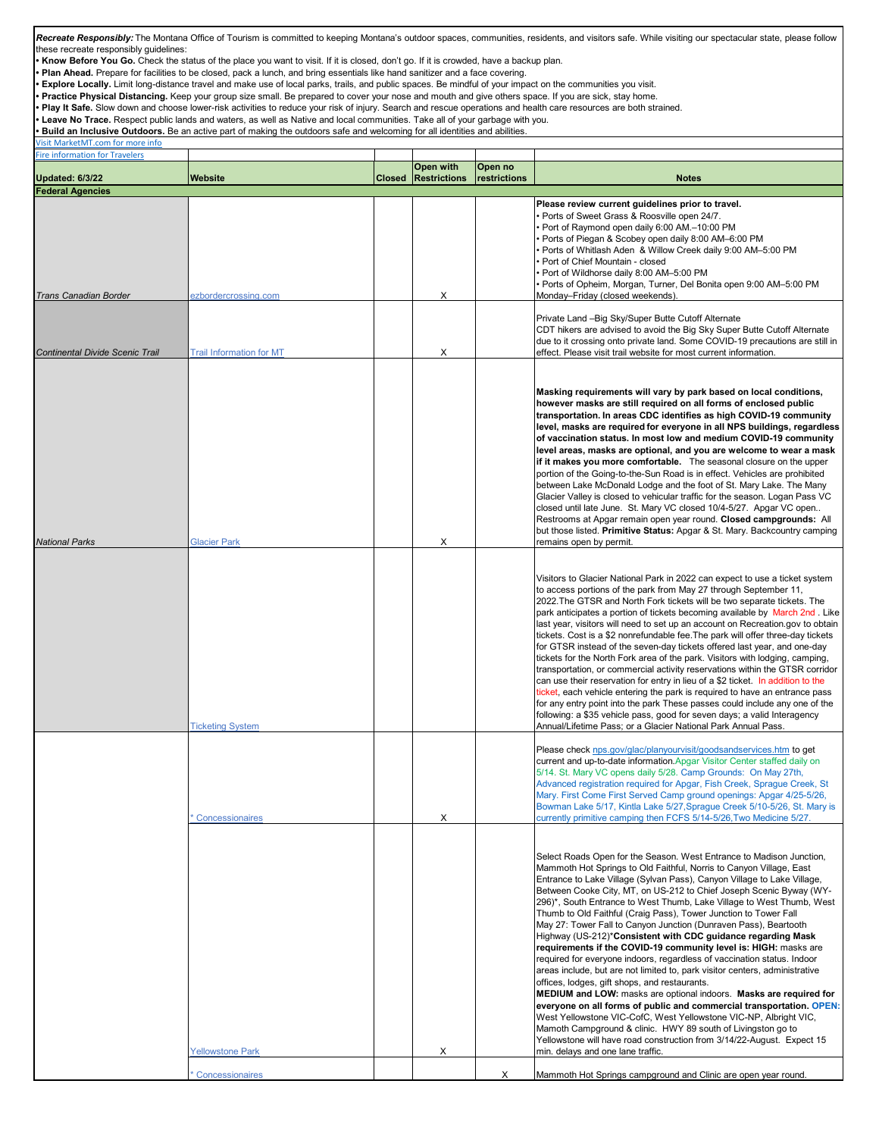| Recreate Responsibly: The Montana Office of Tourism is committed to keeping Montana's outdoor spaces, communities, residents, and visitors safe. While visiting our spectacular state, please follow<br>these recreate responsibly quidelines:<br><b>Know Before You Go.</b> Check the status of the place you want to visit. If it is closed, don't go. If it is crowded, have a backup plan.<br>Plan Ahead. Prepare for facilities to be closed, pack a lunch, and bring essentials like hand sanitizer and a face covering.<br>Explore Locally. Limit long-distance travel and make use of local parks, trails, and public spaces. Be mindful of your impact on the communities you visit.<br>Practice Physical Distancing. Keep your group size small. Be prepared to cover your nose and mouth and give others space. If you are sick, stay home. |                                 |               |                     |              |                                                                                                                                                                                                                                                                                                                                                                                                                                                                                                                                                                                                                                                                                                                                                                                                                                                                                                                                                                                                                                                                                                                                                                                                                                                                  |  |  |  |  |
|--------------------------------------------------------------------------------------------------------------------------------------------------------------------------------------------------------------------------------------------------------------------------------------------------------------------------------------------------------------------------------------------------------------------------------------------------------------------------------------------------------------------------------------------------------------------------------------------------------------------------------------------------------------------------------------------------------------------------------------------------------------------------------------------------------------------------------------------------------|---------------------------------|---------------|---------------------|--------------|------------------------------------------------------------------------------------------------------------------------------------------------------------------------------------------------------------------------------------------------------------------------------------------------------------------------------------------------------------------------------------------------------------------------------------------------------------------------------------------------------------------------------------------------------------------------------------------------------------------------------------------------------------------------------------------------------------------------------------------------------------------------------------------------------------------------------------------------------------------------------------------------------------------------------------------------------------------------------------------------------------------------------------------------------------------------------------------------------------------------------------------------------------------------------------------------------------------------------------------------------------------|--|--|--|--|
| Play It Safe. Slow down and choose lower-risk activities to reduce your risk of injury. Search and rescue operations and health care resources are both strained.<br>Leave No Trace. Respect public lands and waters, as well as Native and local communities. Take all of your garbage with you.<br>Build an Inclusive Outdoors. Be an active part of making the outdoors safe and welcoming for all identities and abilities.                                                                                                                                                                                                                                                                                                                                                                                                                        |                                 |               |                     |              |                                                                                                                                                                                                                                                                                                                                                                                                                                                                                                                                                                                                                                                                                                                                                                                                                                                                                                                                                                                                                                                                                                                                                                                                                                                                  |  |  |  |  |
| <b>Isit MarketMT.com for more info</b><br>Fire information for Travelers                                                                                                                                                                                                                                                                                                                                                                                                                                                                                                                                                                                                                                                                                                                                                                               |                                 |               |                     |              |                                                                                                                                                                                                                                                                                                                                                                                                                                                                                                                                                                                                                                                                                                                                                                                                                                                                                                                                                                                                                                                                                                                                                                                                                                                                  |  |  |  |  |
|                                                                                                                                                                                                                                                                                                                                                                                                                                                                                                                                                                                                                                                                                                                                                                                                                                                        |                                 |               | Open with           | Open no      |                                                                                                                                                                                                                                                                                                                                                                                                                                                                                                                                                                                                                                                                                                                                                                                                                                                                                                                                                                                                                                                                                                                                                                                                                                                                  |  |  |  |  |
| <b>Updated: 6/3/22</b><br><b>Federal Agencies</b>                                                                                                                                                                                                                                                                                                                                                                                                                                                                                                                                                                                                                                                                                                                                                                                                      | <b>Website</b>                  | <b>Closed</b> | <b>Restrictions</b> | restrictions | <b>Notes</b>                                                                                                                                                                                                                                                                                                                                                                                                                                                                                                                                                                                                                                                                                                                                                                                                                                                                                                                                                                                                                                                                                                                                                                                                                                                     |  |  |  |  |
| <b>Trans Canadian Border</b>                                                                                                                                                                                                                                                                                                                                                                                                                                                                                                                                                                                                                                                                                                                                                                                                                           | ezbordercrossing.com            |               | X                   |              | Please review current guidelines prior to travel.<br>Ports of Sweet Grass & Roosville open 24/7.<br>Port of Raymond open daily 6:00 AM.-10:00 PM<br>Ports of Piegan & Scobey open daily 8:00 AM-6:00 PM<br>Ports of Whitlash Aden & Willow Creek daily 9:00 AM-5:00 PM<br>Port of Chief Mountain - closed<br>Port of Wildhorse daily 8:00 AM-5:00 PM<br>Ports of Opheim, Morgan, Turner, Del Bonita open 9:00 AM-5:00 PM<br>Monday-Friday (closed weekends).                                                                                                                                                                                                                                                                                                                                                                                                                                                                                                                                                                                                                                                                                                                                                                                                     |  |  |  |  |
| <b>Continental Divide Scenic Trail</b>                                                                                                                                                                                                                                                                                                                                                                                                                                                                                                                                                                                                                                                                                                                                                                                                                 | <b>Trail Information for MT</b> |               | Х                   |              | Private Land - Big Sky/Super Butte Cutoff Alternate<br>CDT hikers are advised to avoid the Big Sky Super Butte Cutoff Alternate<br>due to it crossing onto private land. Some COVID-19 precautions are still in<br>effect. Please visit trail website for most current information.                                                                                                                                                                                                                                                                                                                                                                                                                                                                                                                                                                                                                                                                                                                                                                                                                                                                                                                                                                              |  |  |  |  |
| National Parks                                                                                                                                                                                                                                                                                                                                                                                                                                                                                                                                                                                                                                                                                                                                                                                                                                         | <b>Glacier Park</b>             |               | Х                   |              | Masking requirements will vary by park based on local conditions,<br>however masks are still required on all forms of enclosed public<br>transportation. In areas CDC identifies as high COVID-19 community<br>level, masks are required for everyone in all NPS buildings, regardless<br>of vaccination status. In most low and medium COVID-19 community<br>level areas, masks are optional, and you are welcome to wear a mask<br>if it makes you more comfortable. The seasonal closure on the upper<br>portion of the Going-to-the-Sun Road is in effect. Vehicles are prohibited<br>between Lake McDonald Lodge and the foot of St. Mary Lake. The Many<br>Glacier Valley is closed to vehicular traffic for the season. Logan Pass VC<br>closed until late June. St. Mary VC closed 10/4-5/27. Apgar VC open<br>Restrooms at Apgar remain open year round. Closed campgrounds: All<br>but those listed. Primitive Status: Apgar & St. Mary. Backcountry camping<br>remains open by permit.                                                                                                                                                                                                                                                                |  |  |  |  |
|                                                                                                                                                                                                                                                                                                                                                                                                                                                                                                                                                                                                                                                                                                                                                                                                                                                        | <b>Ticketing System</b>         |               |                     |              | Visitors to Glacier National Park in 2022 can expect to use a ticket system<br>to access portions of the park from May 27 through September 11,<br>2022. The GTSR and North Fork tickets will be two separate tickets. The<br>park anticipates a portion of tickets becoming available by March 2nd. Like<br>last year, visitors will need to set up an account on Recreation.gov to obtain<br>tickets. Cost is a \$2 nonrefundable fee. The park will offer three-day tickets<br>for GTSR instead of the seven-day tickets offered last year, and one-day<br>tickets for the North Fork area of the park. Visitors with lodging, camping,<br>transportation, or commercial activity reservations within the GTSR corridor<br>can use their reservation for entry in lieu of a \$2 ticket. In addition to the<br>ticket, each vehicle entering the park is required to have an entrance pass<br>for any entry point into the park These passes could include any one of the<br>following: a \$35 vehicle pass, good for seven days; a valid Interagency<br>Annual/Lifetime Pass; or a Glacier National Park Annual Pass.                                                                                                                                         |  |  |  |  |
|                                                                                                                                                                                                                                                                                                                                                                                                                                                                                                                                                                                                                                                                                                                                                                                                                                                        | Concessionaires                 |               | X                   |              | Please check nps.gov/glac/planyourvisit/goodsandservices.htm to get<br>current and up-to-date information. Apgar Visitor Center staffed daily on<br>5/14. St. Mary VC opens daily 5/28. Camp Grounds: On May 27th,<br>Advanced registration required for Apgar, Fish Creek, Sprague Creek, St<br>Mary. First Come First Served Camp ground openings: Apgar 4/25-5/26,<br>Bowman Lake 5/17, Kintla Lake 5/27, Sprague Creek 5/10-5/26, St. Mary is<br>currently primitive camping then FCFS 5/14-5/26, Two Medicine 5/27.                                                                                                                                                                                                                                                                                                                                                                                                                                                                                                                                                                                                                                                                                                                                         |  |  |  |  |
|                                                                                                                                                                                                                                                                                                                                                                                                                                                                                                                                                                                                                                                                                                                                                                                                                                                        | <b>Yellowstone Park</b>         |               | х                   |              | Select Roads Open for the Season. West Entrance to Madison Junction,<br>Mammoth Hot Springs to Old Faithful, Norris to Canyon Village, East<br>Entrance to Lake Village (Sylvan Pass), Canyon Village to Lake Village,<br>Between Cooke City, MT, on US-212 to Chief Joseph Scenic Byway (WY-<br>296)*, South Entrance to West Thumb, Lake Village to West Thumb, West<br>Thumb to Old Faithful (Craig Pass), Tower Junction to Tower Fall<br>May 27: Tower Fall to Canyon Junction (Dunraven Pass), Beartooth<br>Highway (US-212)* Consistent with CDC guidance regarding Mask<br>requirements if the COVID-19 community level is: HIGH: masks are<br>required for everyone indoors, regardless of vaccination status. Indoor<br>areas include, but are not limited to, park visitor centers, administrative<br>offices, lodges, gift shops, and restaurants.<br>MEDIUM and LOW: masks are optional indoors. Masks are required for<br>everyone on all forms of public and commercial transportation. OPEN:<br>West Yellowstone VIC-CofC, West Yellowstone VIC-NP, Albright VIC,<br>Mamoth Campground & clinic. HWY 89 south of Livingston go to<br>Yellowstone will have road construction from 3/14/22-August. Expect 15<br>min. delays and one lane traffic. |  |  |  |  |
|                                                                                                                                                                                                                                                                                                                                                                                                                                                                                                                                                                                                                                                                                                                                                                                                                                                        | <b>Concessionaires</b>          |               |                     | X            | Mammoth Hot Springs campground and Clinic are open year round.                                                                                                                                                                                                                                                                                                                                                                                                                                                                                                                                                                                                                                                                                                                                                                                                                                                                                                                                                                                                                                                                                                                                                                                                   |  |  |  |  |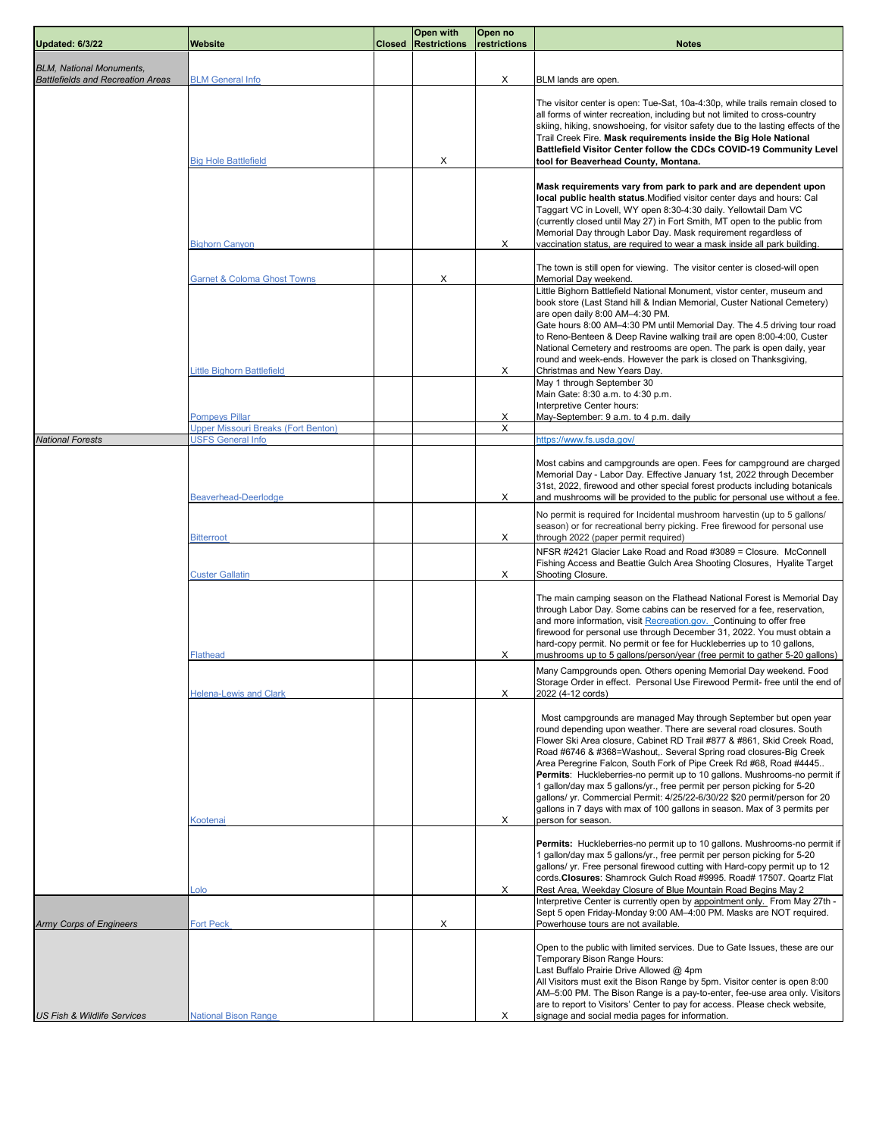| <b>Updated: 6/3/22</b>                   | Website                                                             | <b>Closed</b> | <b>Open with</b><br><b>Restrictions</b> | Open no<br>restrictions | <b>Notes</b>                                                                                                                                                                                                                                                                                                                                                                                                                                                                                                                                                                                                                                                                                            |
|------------------------------------------|---------------------------------------------------------------------|---------------|-----------------------------------------|-------------------------|---------------------------------------------------------------------------------------------------------------------------------------------------------------------------------------------------------------------------------------------------------------------------------------------------------------------------------------------------------------------------------------------------------------------------------------------------------------------------------------------------------------------------------------------------------------------------------------------------------------------------------------------------------------------------------------------------------|
| <b>BLM, National Monuments,</b>          |                                                                     |               |                                         |                         |                                                                                                                                                                                                                                                                                                                                                                                                                                                                                                                                                                                                                                                                                                         |
| <b>Battlefields and Recreation Areas</b> | <b>BLM General Info</b>                                             |               |                                         | Х                       | BLM lands are open.                                                                                                                                                                                                                                                                                                                                                                                                                                                                                                                                                                                                                                                                                     |
|                                          | <b>Big Hole Battlefield</b>                                         |               | Х                                       |                         | The visitor center is open: Tue-Sat, 10a-4:30p, while trails remain closed to<br>all forms of winter recreation, including but not limited to cross-country<br>skiing, hiking, snowshoeing, for visitor safety due to the lasting effects of the<br>Trail Creek Fire. Mask requirements inside the Big Hole National<br>Battlefield Visitor Center follow the CDCs COVID-19 Community Level<br>tool for Beaverhead County, Montana.                                                                                                                                                                                                                                                                     |
|                                          | <b>Bighorn Canyon</b>                                               |               |                                         | Х                       | Mask requirements vary from park to park and are dependent upon<br>local public health status. Modified visitor center days and hours: Cal<br>Taggart VC in Lovell, WY open 8:30-4:30 daily. Yellowtail Dam VC<br>(currently closed until May 27) in Fort Smith, MT open to the public from<br>Memorial Day through Labor Day. Mask requirement regardless of<br>vaccination status, are required to wear a mask inside all park building.                                                                                                                                                                                                                                                              |
|                                          | <b>Garnet &amp; Coloma Ghost Towns</b>                              |               | Х                                       |                         | The town is still open for viewing. The visitor center is closed-will open<br>Memorial Day weekend.                                                                                                                                                                                                                                                                                                                                                                                                                                                                                                                                                                                                     |
|                                          | <b>Little Bighorn Battlefield</b>                                   |               |                                         | х                       | Little Bighorn Battlefield National Monument, vistor center, museum and<br>book store (Last Stand hill & Indian Memorial, Custer National Cemetery)<br>are open daily 8:00 AM-4:30 PM.<br>Gate hours 8:00 AM-4:30 PM until Memorial Day. The 4.5 driving tour road<br>to Reno-Benteen & Deep Ravine walking trail are open 8:00-4:00, Custer<br>National Cemetery and restrooms are open. The park is open daily, year<br>round and week-ends. However the park is closed on Thanksgiving,<br>Christmas and New Years Day.                                                                                                                                                                              |
|                                          |                                                                     |               |                                         |                         | May 1 through September 30<br>Main Gate: 8:30 a.m. to 4:30 p.m.<br>Interpretive Center hours:                                                                                                                                                                                                                                                                                                                                                                                                                                                                                                                                                                                                           |
|                                          | <b>Pompeys Pillar</b><br><b>Jpper Missouri Breaks (Fort Benton)</b> |               |                                         | х<br>X                  | May-September: 9 a.m. to 4 p.m. daily                                                                                                                                                                                                                                                                                                                                                                                                                                                                                                                                                                                                                                                                   |
| <b>National Forests</b>                  | <b>USFS General Info</b>                                            |               |                                         |                         | https://www.fs.usda.gov/                                                                                                                                                                                                                                                                                                                                                                                                                                                                                                                                                                                                                                                                                |
|                                          | <b>Beaverhead-Deerlodge</b>                                         |               |                                         | Χ                       | Most cabins and campgrounds are open. Fees for campground are charged<br>Memorial Day - Labor Day. Effective January 1st, 2022 through December<br>31st, 2022, firewood and other special forest products including botanicals<br>and mushrooms will be provided to the public for personal use without a fee.                                                                                                                                                                                                                                                                                                                                                                                          |
|                                          |                                                                     |               |                                         | Χ                       | No permit is required for Incidental mushroom harvestin (up to 5 gallons/<br>season) or for recreational berry picking. Free firewood for personal use<br>through 2022 (paper permit required)                                                                                                                                                                                                                                                                                                                                                                                                                                                                                                          |
|                                          | <b>Bitterroot</b>                                                   |               |                                         |                         | NFSR #2421 Glacier Lake Road and Road #3089 = Closure. McConnell<br>Fishing Access and Beattie Gulch Area Shooting Closures, Hyalite Target                                                                                                                                                                                                                                                                                                                                                                                                                                                                                                                                                             |
|                                          | <b>Custer Gallatin</b><br><b>Flathead</b>                           |               |                                         | Х<br>Χ                  | Shooting Closure.<br>The main camping season on the Flathead National Forest is Memorial Day<br>through Labor Day. Some cabins can be reserved for a fee, reservation,<br>and more information, visit Recreation.gov. Continuing to offer free<br>firewood for personal use through December 31, 2022. You must obtain a<br>hard-copy permit. No permit or fee for Huckleberries up to 10 gallons,<br>mushrooms up to 5 gallons/person/year (free permit to gather 5-20 gallons)                                                                                                                                                                                                                        |
|                                          | <b>Helena-Lewis and Clark</b>                                       |               |                                         | X                       | Many Campgrounds open. Others opening Memorial Day weekend. Food<br>Storage Order in effect. Personal Use Firewood Permit- free until the end of<br>2022 (4-12 cords)                                                                                                                                                                                                                                                                                                                                                                                                                                                                                                                                   |
|                                          | Kootenai                                                            |               |                                         | Х                       | Most campgrounds are managed May through September but open year<br>round depending upon weather. There are several road closures. South<br>Flower Ski Area closure, Cabinet RD Trail #877 & #861, Skid Creek Road,<br>Road #6746 & #368=Washout,. Several Spring road closures-Big Creek<br>Area Peregrine Falcon, South Fork of Pipe Creek Rd #68, Road #4445<br>Permits: Huckleberries-no permit up to 10 gallons. Mushrooms-no permit if<br>1 gallon/day max 5 gallons/yr., free permit per person picking for 5-20<br>gallons/ yr. Commercial Permit: 4/25/22-6/30/22 \$20 permit/person for 20<br>gallons in 7 days with max of 100 gallons in season. Max of 3 permits per<br>person for season. |
|                                          |                                                                     |               |                                         |                         | Permits: Huckleberries-no permit up to 10 gallons. Mushrooms-no permit if<br>1 gallon/day max 5 gallons/yr., free permit per person picking for 5-20<br>gallons/ yr. Free personal firewood cutting with Hard-copy permit up to 12<br>cords. Closures: Shamrock Gulch Road #9995. Road# 17507. Qoartz Flat                                                                                                                                                                                                                                                                                                                                                                                              |
|                                          | <u>olo.</u>                                                         |               |                                         | X                       | Rest Area, Weekday Closure of Blue Mountain Road Begins May 2<br>Interpretive Center is currently open by appointment only. From May 27th -<br>Sept 5 open Friday-Monday 9:00 AM-4:00 PM. Masks are NOT required.                                                                                                                                                                                                                                                                                                                                                                                                                                                                                       |
| <b>Army Corps of Engineers</b>           | <b>Fort Peck</b>                                                    |               | Х                                       |                         | Powerhouse tours are not available.                                                                                                                                                                                                                                                                                                                                                                                                                                                                                                                                                                                                                                                                     |
|                                          |                                                                     |               |                                         |                         | Open to the public with limited services. Due to Gate Issues, these are our<br>Temporary Bison Range Hours:<br>Last Buffalo Prairie Drive Allowed @ 4pm<br>All Visitors must exit the Bison Range by 5pm. Visitor center is open 8:00<br>AM-5:00 PM. The Bison Range is a pay-to-enter, fee-use area only. Visitors<br>are to report to Visitors' Center to pay for access. Please check website,                                                                                                                                                                                                                                                                                                       |
| <b>US Fish &amp; Wildlife Services</b>   | <b>National Bison Range</b>                                         |               |                                         | х                       | signage and social media pages for information.                                                                                                                                                                                                                                                                                                                                                                                                                                                                                                                                                                                                                                                         |